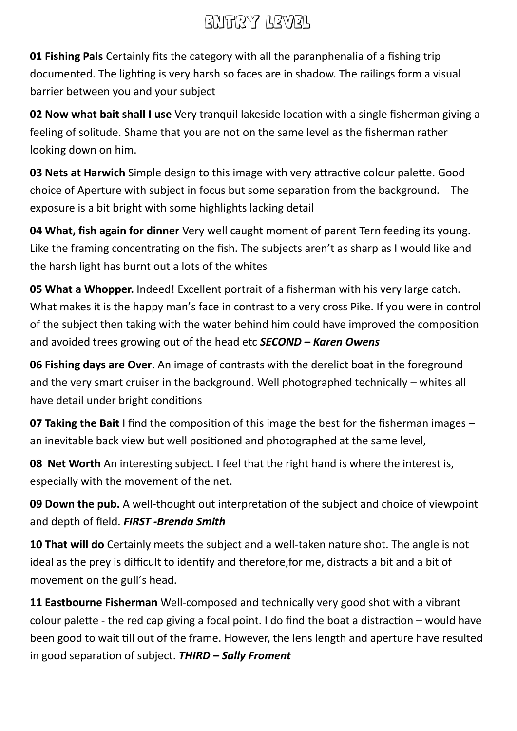# Entry level

**01 Fishing Pals** Certainly fits the category with all the paranphenalia of a fishing trip documented. The lighting is very harsh so faces are in shadow. The railings form a visual barrier between you and your subject

**02 Now what bait shall I use** Very tranquil lakeside location with a single fisherman giving a feeling of solitude. Shame that you are not on the same level as the fisherman rather looking down on him.

**03 Nets at Harwich** Simple design to this image with very attractive colour palette. Good choice of Aperture with subject in focus but some separation from the background. The exposure is a bit bright with some highlights lacking detail

**04 What, fish again for dinner** Very well caught moment of parent Tern feeding its young. Like the framing concentrating on the fish. The subjects aren't as sharp as I would like and the harsh light has burnt out a lots of the whites

**05 What a Whopper.** Indeed! Excellent portrait of a fisherman with his very large catch. What makes it is the happy man's face in contrast to a very cross Pike. If you were in control of the subject then taking with the water behind him could have improved the composition and avoided trees growing out of the head etc *SECOND – Karen Owens*

**06 Fishing days are Over**. An image of contrasts with the derelict boat in the foreground and the very smart cruiser in the background. Well photographed technically – whites all have detail under bright conditions

**07 Taking the Bait** I find the composition of this image the best for the fisherman images – an inevitable back view but well positioned and photographed at the same level,

**08 Net Worth** An interesting subject. I feel that the right hand is where the interest is, especially with the movement of the net.

**09 Down the pub.** A well-thought out interpretation of the subject and choice of viewpoint and depth of field. *FIRST -Brenda Smith*

**10 That will do** Certainly meets the subject and a well-taken nature shot. The angle is not ideal as the prey is difficult to identify and therefore,for me, distracts a bit and a bit of movement on the gull's head.

**11 Eastbourne Fisherman** Well-composed and technically very good shot with a vibrant colour palette - the red cap giving a focal point. I do find the boat a distraction – would have been good to wait till out of the frame. However, the lens length and aperture have resulted in good separation of subject. *THIRD – Sally Froment*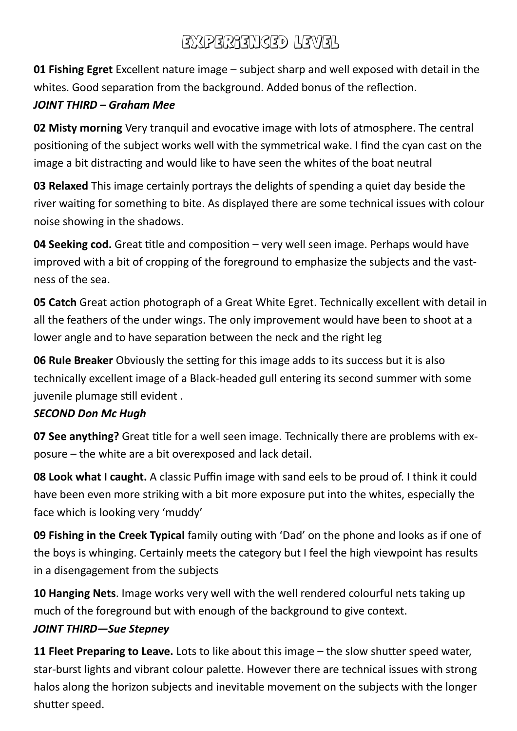# EXPERIENCED LEVEL

**01 Fishing Egret** Excellent nature image – subject sharp and well exposed with detail in the whites. Good separation from the background. Added bonus of the reflection.

### *JOINT THIRD – Graham Mee*

**02 Misty morning** Very tranquil and evocative image with lots of atmosphere. The central positioning of the subject works well with the symmetrical wake. I find the cyan cast on the image a bit distracting and would like to have seen the whites of the boat neutral

**03 Relaxed** This image certainly portrays the delights of spending a quiet day beside the river waiting for something to bite. As displayed there are some technical issues with colour noise showing in the shadows.

**04 Seeking cod.** Great title and composition – very well seen image. Perhaps would have improved with a bit of cropping of the foreground to emphasize the subjects and the vastness of the sea.

**05 Catch** Great action photograph of a Great White Egret. Technically excellent with detail in all the feathers of the under wings. The only improvement would have been to shoot at a lower angle and to have separation between the neck and the right leg

**06 Rule Breaker** Obviously the setting for this image adds to its success but it is also technically excellent image of a Black-headed gull entering its second summer with some juvenile plumage still evident .

#### *SECOND Don Mc Hugh*

**07 See anything?** Great title for a well seen image. Technically there are problems with exposure – the white are a bit overexposed and lack detail.

**08 Look what I caught.** A classic Puffin image with sand eels to be proud of. I think it could have been even more striking with a bit more exposure put into the whites, especially the face which is looking very 'muddy'

**09 Fishing in the Creek Typical** family outing with 'Dad' on the phone and looks as if one of the boys is whinging. Certainly meets the category but I feel the high viewpoint has results in a disengagement from the subjects

**10 Hanging Nets**. Image works very well with the well rendered colourful nets taking up much of the foreground but with enough of the background to give context.

### *JOINT THIRD—Sue Stepney*

**11 Fleet Preparing to Leave.** Lots to like about this image – the slow shutter speed water, star-burst lights and vibrant colour palette. However there are technical issues with strong halos along the horizon subjects and inevitable movement on the subjects with the longer shutter speed.